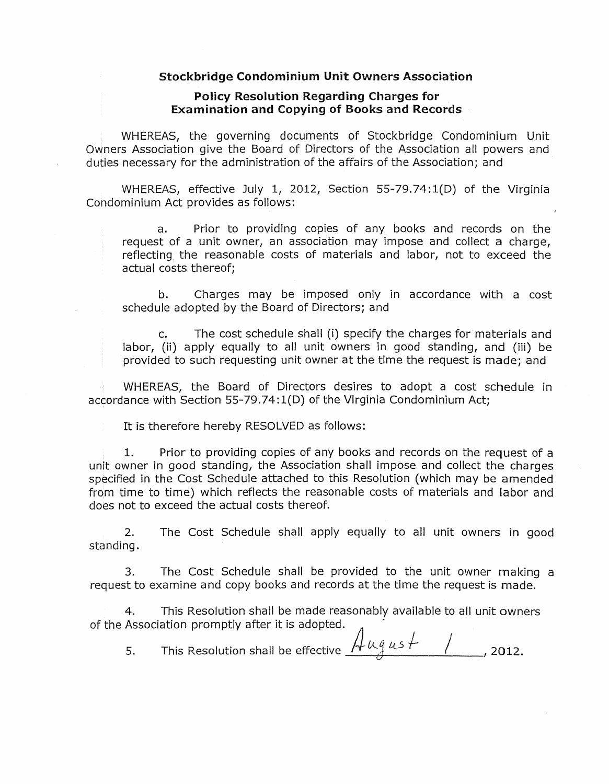#### Stockbridge Condominium Unit Owners Association

#### Policy Resolution Regarding Charges for Examination and Copying of Books and Records

WHEREAS, the governing documents of Stockbridge Condominium Unit Owners Association give the Board of Directors of the Association all powers and duties necessary for the administration of the affairs of the Association; and

WHEREAS, effective July 1, 2012, Section 55-79.74:1(D) of the Virginia Condominium Act provides as follows:

a. Prior to providing copies of any books and records on the request of a unit owner, an association may impose and collect a charge, reflecting. the reasonable costs of materials and labor, not to exceed the actual costs thereof;

b. Charges may be imposed only in accordance with a cost schedule adopted by the Board of Directors; and

c. The cost schedule shall (i) specify the charges for materials and labor, (ii) apply equally to all unit owners in good standing, and (iii) be provided to such requesting unit owner at the time the request is made; and

WHEREAS, the Board of Directors desires to adopt a cost schedule in accordance with Section 55-79.74: 1(D) of the Virginia Condominium Act;

It is therefore hereby RESOLVED as follows:

1. Prior to providing copies of any books and records on the request of a unit owner in good standing, the Association shall impose and collect the charges specified in the Cost Schedule attached to this Resolution (which may be amended from time to time) which reflects the reasonable costs of materials and labor and does not to exceed the actual costs thereof.

2. The Cost Schedule shall apply equally to all unit owners in good standing.

3. The Cost Schedule shall be provided to the unit owner making a request to examine and copy books and records at the time the request is made.

4. This Resolution shall be made reasonably available to all unit owners of the Association promptly after it is adopted.

5. This Resolution shall be effective *!+* Uj *lL5 )-* / J 2012,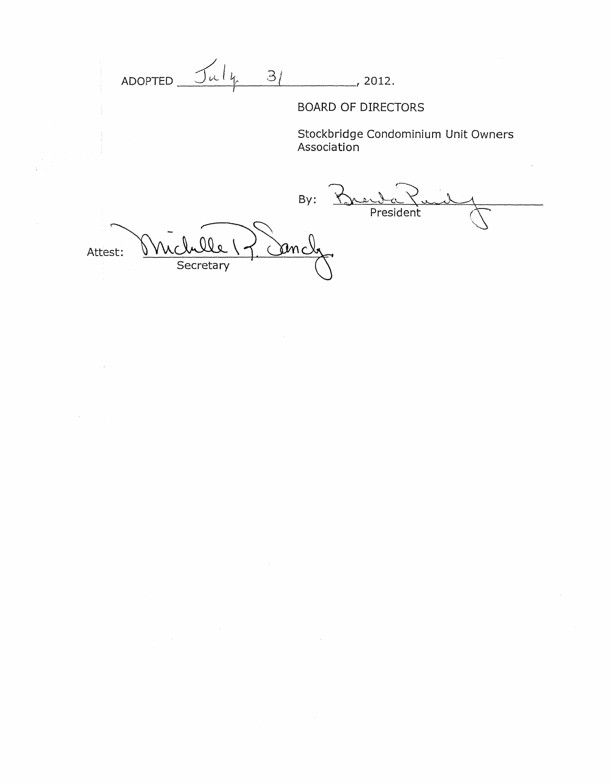ADOPTED  $\frac{\int u l_{k} - 3/}{2012}$ , 2012.

 $\sim$ 

# BOARD OF DIRECTORS

Stockbridge Condominium Unit Owners Association

 $By:$ President <u>anch</u> Attest: Secretary